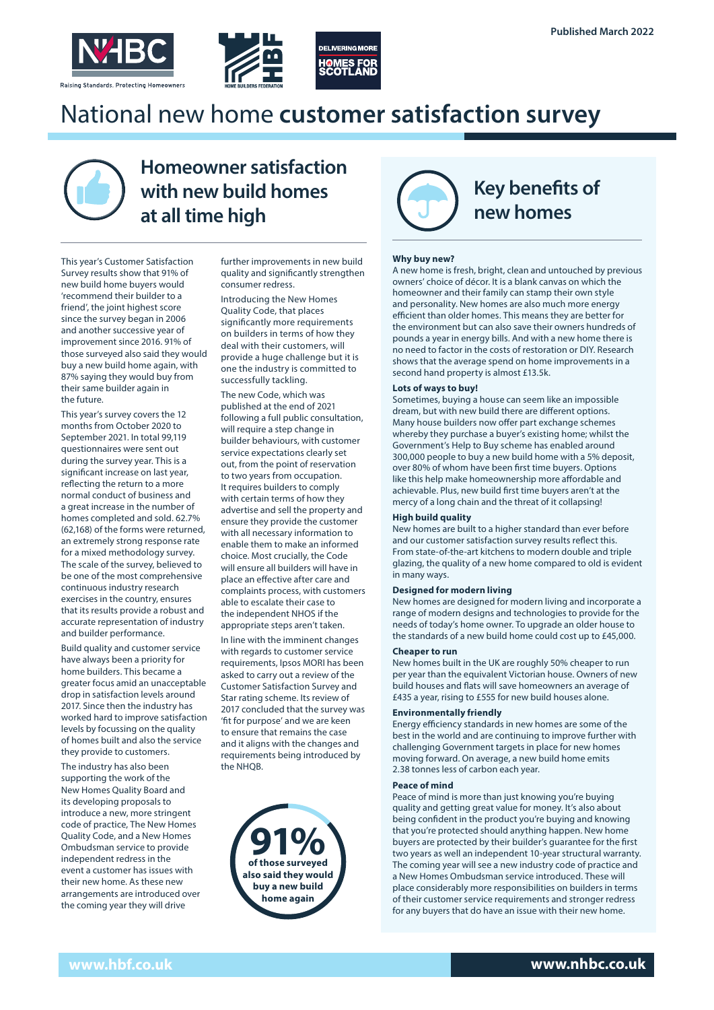



## National new home customer satisfaction survey



## Homeowner satisfaction with new build homes at all time high

This year's Customer Satisfaction Survey results show that 91% of new build home buyers would 'recommend their builder to a friend', the joint highest score since the survey began in 2006 and another successive year of improvement since 2016. 91% of those surveyed also said they would buy a new build home again, with 87% saying they would buy from their same builder again in the future.

This year's survey covers the 12 months from October 2020 to September 2021. In total 99,119 questionnaires were sent out during the survey year. This is a significant increase on last year, reflecting the return to a more normal conduct of business and a great increase in the number of homes completed and sold. 62.7% (62,168) of the forms were returned, an extremely strong response rate for a mixed methodology survey. The scale of the survey, believed to be one of the most comprehensive continuous industry research exercises in the country, ensures that its results provide a robust and accurate representation of industry and builder performance.

Build quality and customer service have always been a priority for home builders. This became a greater focus amid an unacceptable drop in satisfaction levels around 2017. Since then the industry has worked hard to improve satisfaction levels by focussing on the quality of homes built and also the service they provide to customers.

The industry has also been supporting the work of the New Homes Quality Board and its developing proposals to introduce a new, more stringent code of practice, The New Homes Quality Code, and a New Homes Ombudsman service to provide independent redress in the event a customer has issues with their new home. As these new arrangements are introduced over the coming year they will drive

further improvements in new build quality and significantly strengthen consumer redress.

Introducing the New Homes Quality Code, that places significantly more requirements on builders in terms of how they deal with their customers, will provide a huge challenge but it is one the industry is committed to successfully tackling.

The new Code, which was published at the end of 2021 following a full public consultation, will require a step change in builder behaviours, with customer service expectations clearly set out, from the point of reservation to two years from occupation. It requires builders to comply with certain terms of how they advertise and sell the property and ensure they provide the customer with all necessary information to enable them to make an informed choice. Most crucially, the Code will ensure all builders will have in place an effective after care and complaints process, with customers able to escalate their case to the independent NHOS if the appropriate steps aren't taken.

In line with the imminent changes with regards to customer service requirements, Ipsos MORI has been asked to carry out a review of the Customer Satisfaction Survey and Star rating scheme. Its review of 2017 concluded that the survey was 'fit for purpose' and we are keen to ensure that remains the case and it aligns with the changes and requirements being introduced by the NHOB.





#### **Why buy new?**

A new home is fresh, bright, clean and untouched by previous owners' choice of décor. It is a blank canvas on which the homeowner and their family can stamp their own style and personality. New homes are also much more energy efficient than older homes. This means they are better for the environment but can also save their owners hundreds of pounds a year in energy bills. And with a new home there is no need to factor in the costs of restoration or DIY. Research shows that the average spend on home improvements in a second hand property is almost £13.5k.

#### **Lots of ways to buy!**

Sometimes, buying a house can seem like an impossible dream, but with new build there are different options. Many house builders now offer part exchange schemes whereby they purchase a buyer's existing home; whilst the Government's Help to Buy scheme has enabled around 300,000 people to buy a new build home with a 5% deposit, over 80% of whom have been first time buyers. Options like this help make homeownership more affordable and achievable. Plus, new build first time buyers aren't at the mercy of a long chain and the threat of it collapsing!

#### **High build quality**

New homes are built to a higher standard than ever before and our customer satisfaction survey results reflect this. From state-of-the-art kitchens to modern double and triple glazing, the quality of a new home compared to old is evident in many ways.

#### **Designed for modern living**

New homes are designed for modern living and incorporate a range of modern designs and technologies to provide for the needs of today's home owner. To upgrade an older house to the standards of a new build home could cost up to £45,000.

#### **Cheaper to run**

New homes built in the UK are roughly 50% cheaper to run per year than the equivalent Victorian house. Owners of new build houses and flats will save homeowners an average of £435 a year, rising to £555 for new build houses alone.

#### **Environmentally friendly**

Energy efficiency standards in new homes are some of the best in the world and are continuing to improve further with challenging Government targets in place for new homes moving forward. On average, a new build home emits 2.38 tonnes less of carbon each year.

#### **Peace of mind**

Peace of mind is more than just knowing you're buying quality and getting great value for money. It's also about being confident in the product you're buying and knowing that you're protected should anything happen. New home buyers are protected by their builder's guarantee for the first two years as well an independent 10-year structural warranty. The coming year will see a new industry code of practice and a New Homes Ombudsman service introduced. These will place considerably more responsibilities on builders in terms of their customer service requirements and stronger redress for any buyers that do have an issue with their new home.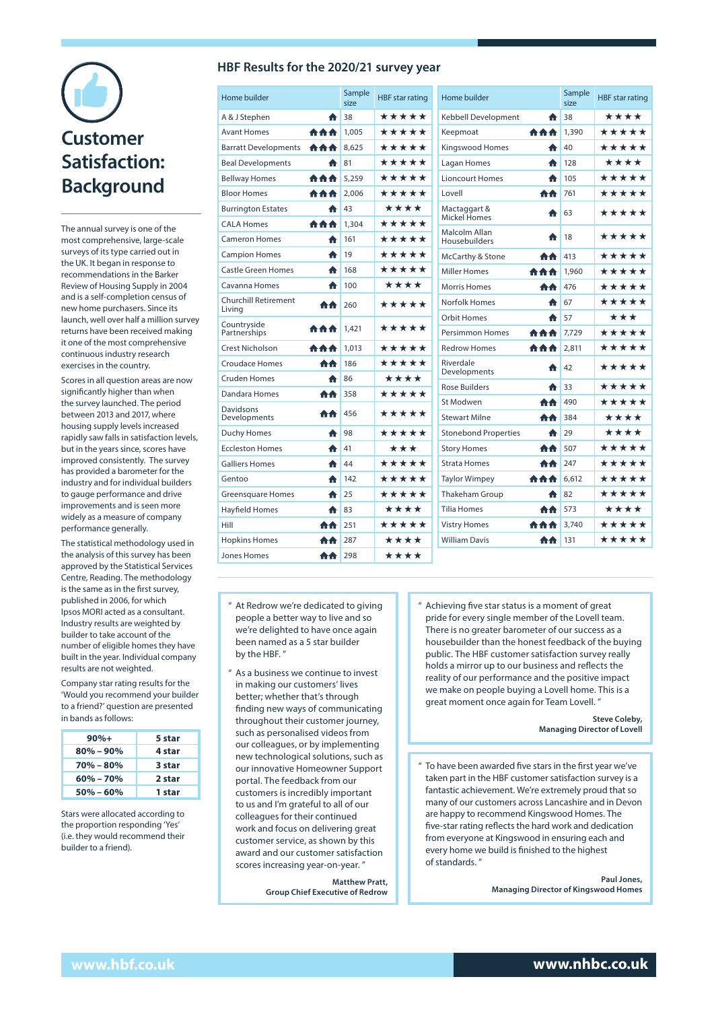# Customer Satisfaction: Background

The annual survey is one of the most comprehensive, large-scale surveys of its type carried out in the UK. It began in response to recommendations in the Barker Review of Housing Supply in 2004 and is a self-completion census of new home purchasers. Since its launch, well over half a million survey returns have been received making it one of the most comprehensive continuous industry research exercises in the country.

Scores in all question areas are now significantly higher than when the survey launched. The period between 2013 and 2017, where housing supply levels increased rapidly saw falls in satisfaction levels, but in the years since, scores have improved consistently. The survey has provided a barometer for the industry and for individual builders to gauge performance and drive improvements and is seen more widely as a measure of company performance generally.

The statistical methodology used in the analysis of this survey has been approved by the Statistical Services Centre, Reading. The methodology is the same as in the first survey, published in 2006, for which Ipsos MORI acted as a consultant. Industry results are weighted by builder to take account of the number of eligible homes they have built in the year. Individual company results are not weighted.

Company star rating results for the 'Would you recommend your builder to a friend?' question are presented in bands as follows:

| $90% +$       | 5 star |
|---------------|--------|
| $80\% - 90\%$ | 4 star |
| $70\% - 80\%$ | 3 star |
| $60\% - 70\%$ | 2 star |
| $50\% - 60\%$ | 1 star |

Stars were allocated according to the proportion responding 'Yes' (i.e. they would recommend their builder to a friend).

#### **HBF Results for the 2020/21 survey year**

| Home builder                          |            | Sample<br>size | <b>HBF</b> star rating |
|---------------------------------------|------------|----------------|------------------------|
| A & J Stephen                         | ₳          | 38             | *****                  |
| <b>Avant Homes</b>                    | <b>AAA</b> | 1,005          | *****                  |
| <b>Barratt Developments</b>           | <b>AAA</b> | 8.625          | *****                  |
| <b>Beal Developments</b>              | ₳          | 81             | *****                  |
| <b>Bellway Homes</b>                  | 介介介        | 5,259          | *****                  |
| <b>Bloor Homes</b>                    | <b>AAA</b> | 2,006          | *****                  |
| <b>Burrington Estates</b>             | ₳          | 43             | ****                   |
| <b>CALA Homes</b>                     | 自自自        | 1,304          | *****                  |
| <b>Cameron Homes</b>                  | ₳          | 161            | *****                  |
| <b>Campion Homes</b>                  | ₳          | 19             | *****                  |
| <b>Castle Green Homes</b>             | ₳          | 168            | *****                  |
| Cavanna Homes                         | ₳          | 100            | ****                   |
| <b>Churchill Retirement</b><br>Living | 合合         | 260            | *****                  |
| Countryside<br>Partnerships           | <b>AAA</b> | 1,421          | *****                  |
| <b>Crest Nicholson</b>                | <b>AAA</b> | 1,013          | *****                  |
| <b>Croudace Homes</b>                 | 合合         | 186            | *****                  |
| <b>Cruden Homes</b>                   | ₳          | 86             | ****                   |
| Dandara Homes                         | АA         | 358            | *****                  |
| Davidsons<br>Developments             | 合合         | 456            | *****                  |
| <b>Duchy Homes</b>                    | ₳          | 98             | *****                  |
| <b>Eccleston Homes</b>                | ₳          | 41             | ***                    |
| <b>Galliers Homes</b>                 | ₳          | 44             | *****                  |
| Gentoo                                | ₳          | 142            | *****                  |
| <b>Greensquare Homes</b>              | ₳          | 25             | *****                  |
| <b>Hayfield Homes</b>                 | ₳          | 83             | ****                   |
| Hill                                  | АA         | 251            | *****                  |
| <b>Hopkins Homes</b>                  | AA.        | 287            | ****                   |
| <b>Jones Homes</b>                    | 合合         | 298            | ****                   |

|            | Sample<br>size | <b>HBF</b> star rating |
|------------|----------------|------------------------|
| ₳          | 38             | ****                   |
| <b>AAA</b> | 1,390          | *****                  |
| ₳          | 40             | *****                  |
| ♠          | 128            | ****                   |
| ₳          | 105            | *****                  |
| АA         | 761            | *****                  |
| ₳          | 63             | *****                  |
| ₳          | 18             | *****                  |
| <b>AA</b>  | 413            | *****                  |
| 合合合        | 1,960          | *****                  |
| 合合         | 476            | *****                  |
| ₳          | 67             | *****                  |
| ₳          | 57             | ***                    |
| <b>AAA</b> | 7,729          | *****                  |
| <b>AAA</b> | 2.811          | *****                  |
| ₳          | 42             | *****                  |
| ₳          | 33             | *****                  |
| 合合         | 490            | *****                  |
| АA         | 384            | ****                   |
| ₳          | 29             | ****                   |
| 合合         | 507            | *****                  |
| 合合         | 247            | *****                  |
| <b>AAA</b> | 6.612          | *****                  |
| ♠          | 82             | *****                  |
| AA         | 573            | ****                   |
| <b>AAA</b> | 3.740          | *****                  |
| AA         | 131            | *****                  |
|            |                |                        |

- " At Redrow we're dedicated to giving people a better way to live and so we're delighted to have once again been named as a 5 star builder by the HBF. "
- " As a business we continue to invest in making our customers' lives better; whether that's through finding new ways of communicating throughout their customer journey, such as personalised videos from our colleagues, or by implementing new technological solutions, such as our innovative Homeowner Support portal. The feedback from our customers is incredibly important to us and I'm grateful to all of our colleagues for their continued work and focus on delivering great customer service, as shown by this award and our customer satisfaction scores increasing year-on-year. "

Matthew Pratt, Group Chief Executive of Redrow " Achieving five star status is a moment of great pride for every single member of the Lovell team. There is no greater barometer of our success as a housebuilder than the honest feedback of the buying public. The HBF customer satisfaction survey really holds a mirror up to our business and reflects the reality of our performance and the positive impact we make on people buying a Lovell home. This is a great moment once again for Team Lovell.'

> Steve Coleby, Managing Director of Lovell

" To have been awarded five stars in the first year we've taken part in the HBF customer satisfaction survey is a fantastic achievement. We're extremely proud that so many of our customers across Lancashire and in Devon are happy to recommend Kingswood Homes. The five-star rating reflects the hard work and dedication from everyone at Kingswood in ensuring each and every home we build is finished to the highest of standards. "

> Paul Jones, Managing Director of Kingswood Homes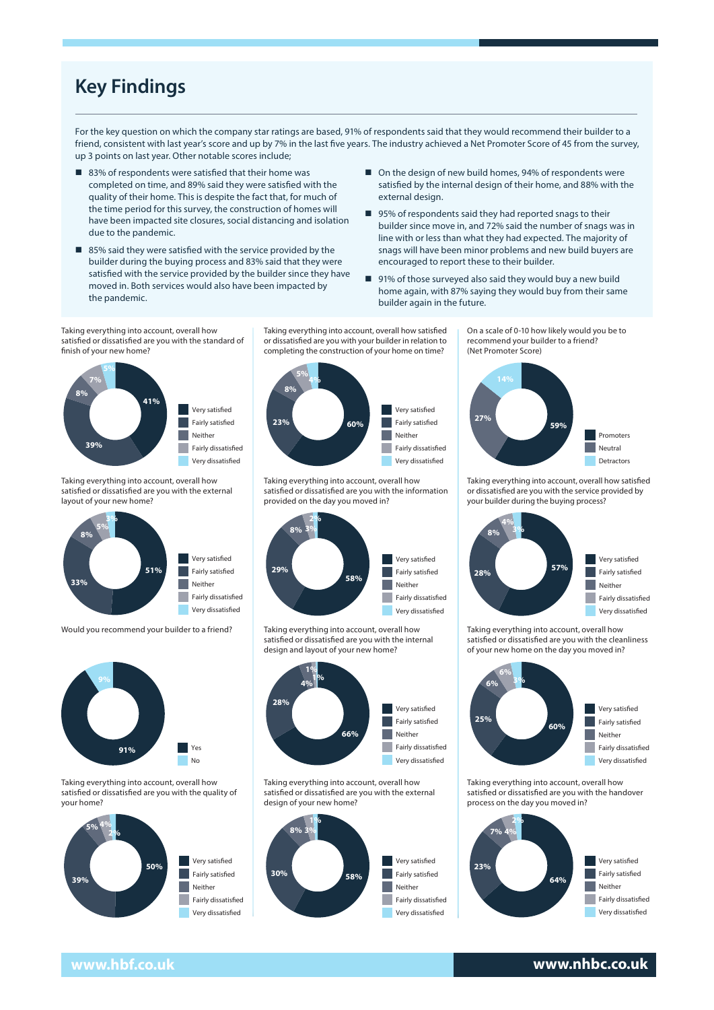## Key Findings

For the key question on which the company star ratings are based, 91% of respondents said that they would recommend their builder to a friend, consistent with last year's score and up by 7% in the last five years. The industry achieved a Net Promoter Score of 45 from the survey, up 3 points on last year. Other notable scores include;

- 83% of respondents were satisfied that their home was completed on time, and 89% said they were satisfied with the quality of their home. This is despite the fact that, for much of the time period for this survey, the construction of homes will have been impacted site closures, social distancing and isolation due to the pandemic.
- 85% said they were satisfied with the service provided by the builder during the buying process and 83% said that they were satisfied with the service provided by the builder since they have moved in. Both services would also have been impacted by the pandemic.
- On the design of new build homes, 94% of respondents were satisfied by the internal design of their home, and 88% with the external design.
- 95% of respondents said they had reported snags to their builder since move in, and 72% said the number of snags was in line with or less than what they had expected. The majority of snags will have been minor problems and new build buyers are encouraged to report these to their builder.
- 91% of those surveyed also said they would buy a new build home again, with 87% saying they would buy from their same builder again in the future.

Taking everything into account, overall how satisfied or dissatisfied are you with the standard of Taking everything into account, overall how satised or dissatised are you with the standard finish of your new home? of nish of your new home?



Taking everything into account, overall how satisfied or dissatisfied are you with the external layout of your new home?



Would you recommend your builder to a friend? Taking everything into account, overall how Taking everything into account, overall how



Taking everything into account, overall how Taking everything into account, overall how satisfied or dissatisfied are you with the quality of your home?



Taking everything into account, overall how satisfied Taking everything into account, overall how or dissatisfied are you with your builder in relation to satised or dissatised are you with your builder in relation to completing the construction of your completing the construction of your home on time? home on time?



Taking everything into account, overall how raking everything into account, overall how satisfied or dissatisfied are you with the information provided on the day you moved in?



Taking everything into account, overall how satisfied or dissatisfied are you with the internal Taking everything into account, overall how satised or dissatised are you with the internal design and layout of your new home? design and layout of your new home?



Taking everything into account, overall how satisfied or dissatisfied are you with the external design of your new home?



On a scale of 0-10 how likely would you be to On a scale of 0-10 how likely would you be to recommend your builder to a friend? recommend your builder to a friend? (Net Promoter Score) (Net Promoter Score)



Taking everything into account, overall how satisfied or dissatisfied are you with the service provided by your builder during the buying process? process?



satisfied or dissatisfied are you with the cleanliness of your new home on the day you moved in? new home on the day you moved in? Taking everything into account, overall how



Taking everything into account, overall how satisfied or dissatisfied are you with the handover process on the day you moved in? satised or dissatised are you with the handover process on the day you moved in?



### **www.hbf.co.uk www.nhbc.co.uk**